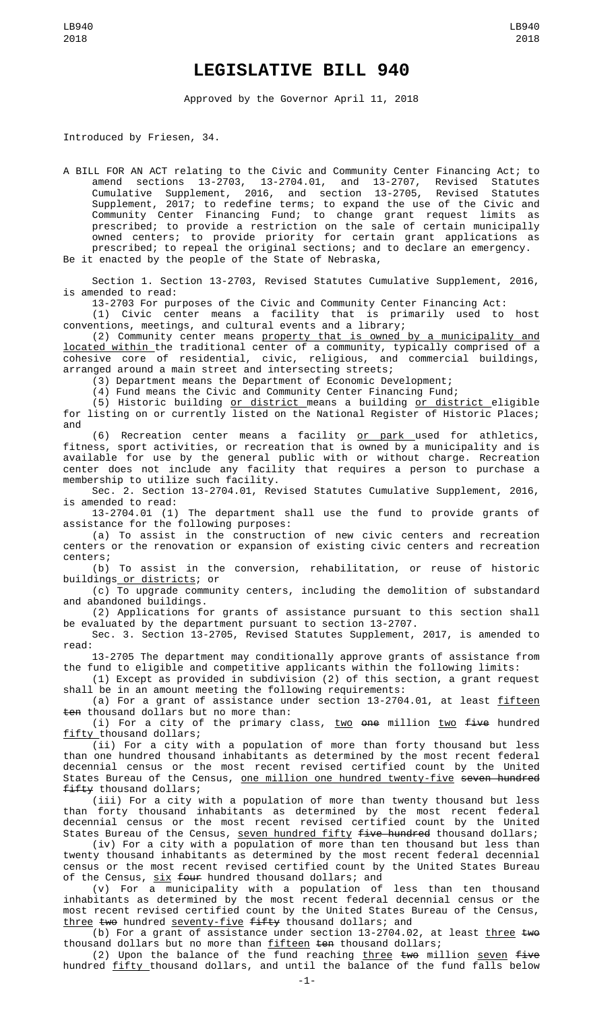## **LEGISLATIVE BILL 940**

Approved by the Governor April 11, 2018

Introduced by Friesen, 34.

A BILL FOR AN ACT relating to the Civic and Community Center Financing Act; to amend sections 13-2703, 13-2704.01, and 13-2707, Revised Statutes Cumulative Supplement, 2016, and section 13-2705, Revised Statutes Supplement, 2017; to redefine terms; to expand the use of the Civic and Community Center Financing Fund; to change grant request limits as prescribed; to provide a restriction on the sale of certain municipally owned centers; to provide priority for certain grant applications as prescribed; to repeal the original sections; and to declare an emergency. Be it enacted by the people of the State of Nebraska,

Section 1. Section 13-2703, Revised Statutes Cumulative Supplement, 2016, is amended to read:

13-2703 For purposes of the Civic and Community Center Financing Act:

(1) Civic center means a facility that is primarily used to host conventions, meetings, and cultural events and a library;

(2) Community center means property that is owned by a municipality and located within the traditional center of a community, typically comprised of a cohesive core of residential, civic, religious, and commercial buildings, arranged around a main street and intersecting streets;

(3) Department means the Department of Economic Development;

(4) Fund means the Civic and Community Center Financing Fund;

(5) Historic building or district means a building or district eligible for listing on or currently listed on the National Register of Historic Places; and

(6) Recreation center means a facility <u>or park u</u>sed for athletics, fitness, sport activities, or recreation that is owned by a municipality and is available for use by the general public with or without charge. Recreation center does not include any facility that requires a person to purchase a membership to utilize such facility.

Sec. 2. Section 13-2704.01, Revised Statutes Cumulative Supplement, 2016, is amended to read:

13-2704.01 (1) The department shall use the fund to provide grants of assistance for the following purposes:

(a) To assist in the construction of new civic centers and recreation centers or the renovation or expansion of existing civic centers and recreation centers;

(b) To assist in the conversion, rehabilitation, or reuse of historic buildings or districts; or

(c) To upgrade community centers, including the demolition of substandard and abandoned buildings.

(2) Applications for grants of assistance pursuant to this section shall be evaluated by the department pursuant to section 13-2707.

Sec. 3. Section 13-2705, Revised Statutes Supplement, 2017, is amended to read:

13-2705 The department may conditionally approve grants of assistance from the fund to eligible and competitive applicants within the following limits:

(1) Except as provided in subdivision (2) of this section, a grant request shall be in an amount meeting the following requirements:

(a) For a grant of assistance under section 13-2704.01, at least fifteen ten thousand dollars but no more than:

(i) For a city of the primary class, two one million two  $f$ ive hundred fifty thousand dollars;

(ii) For a city with a population of more than forty thousand but less than one hundred thousand inhabitants as determined by the most recent federal decennial census or the most recent revised certified count by the United States Bureau of the Census, <u>one million one hundred twenty-five</u> seven hundred fifty thousand dollars;

(iii) For a city with a population of more than twenty thousand but less than forty thousand inhabitants as determined by the most recent federal decennial census or the most recent revised certified count by the United States Bureau of the Census, seven hundred fifty five hundred thousand dollars;

(iv) For a city with a population of more than ten thousand but less than twenty thousand inhabitants as determined by the most recent federal decennial census or the most recent revised certified count by the United States Bureau of the Census, <u>six</u> <del>four</del> hundred thousand dollars; and

(v) For a municipality with a population of less than ten thousand inhabitants as determined by the most recent federal decennial census or the most recent revised certified count by the United States Bureau of the Census, three two hundred seventy-five fifty thousand dollars; and

(b) For a grant of assistance under section 13-2704.02, at least  $\underline{three}$  two thousand dollars but no more than fifteen ten thousand dollars;

(2) Upon the balance of the fund reaching  $\tt three$  two million <u>seven</u> five hundred <u>fifty </u>thousand dollars, and until the balance of the fund falls below